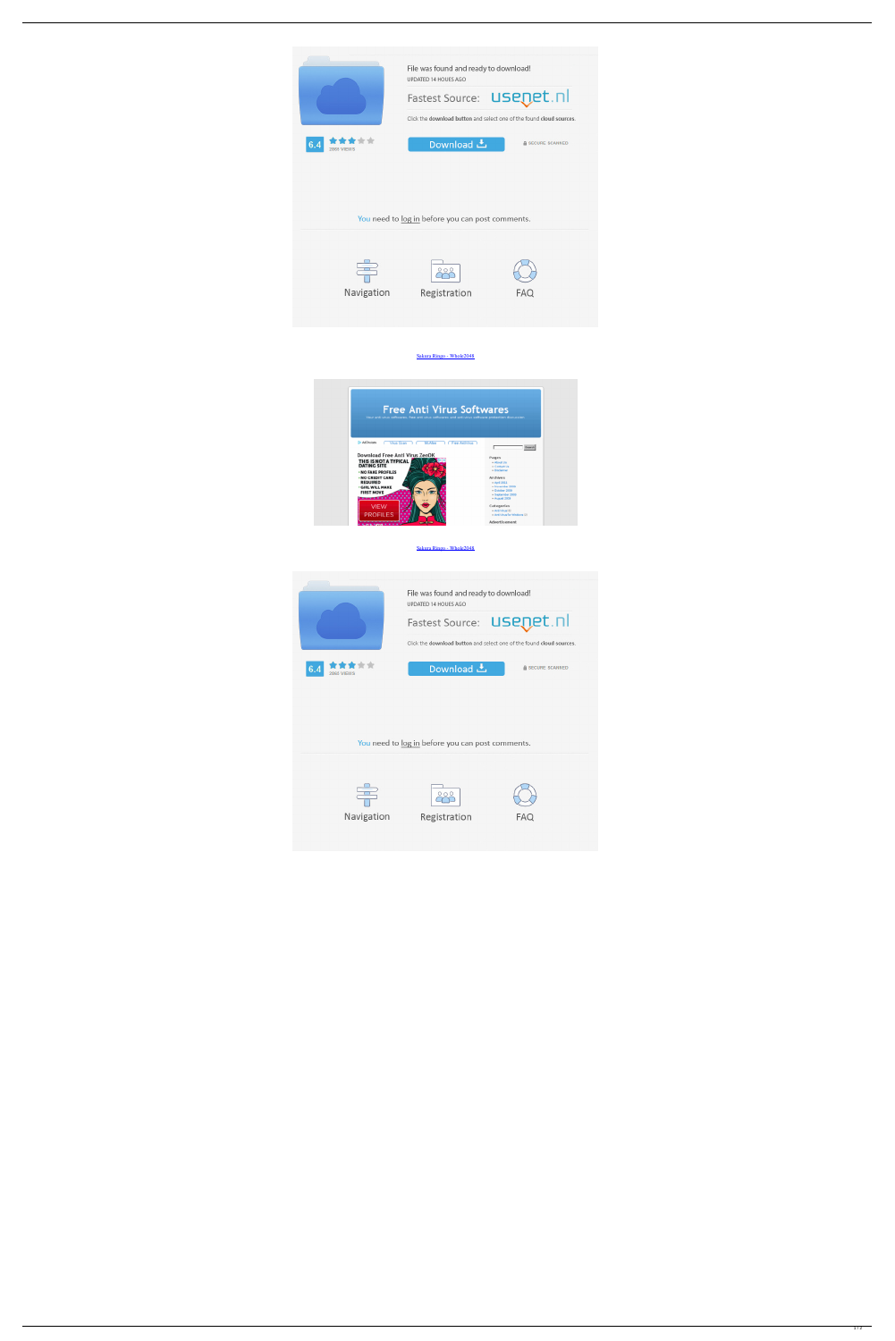



```
Sakura Ringo - Whole2048
```


You need to log in before you can post comments.